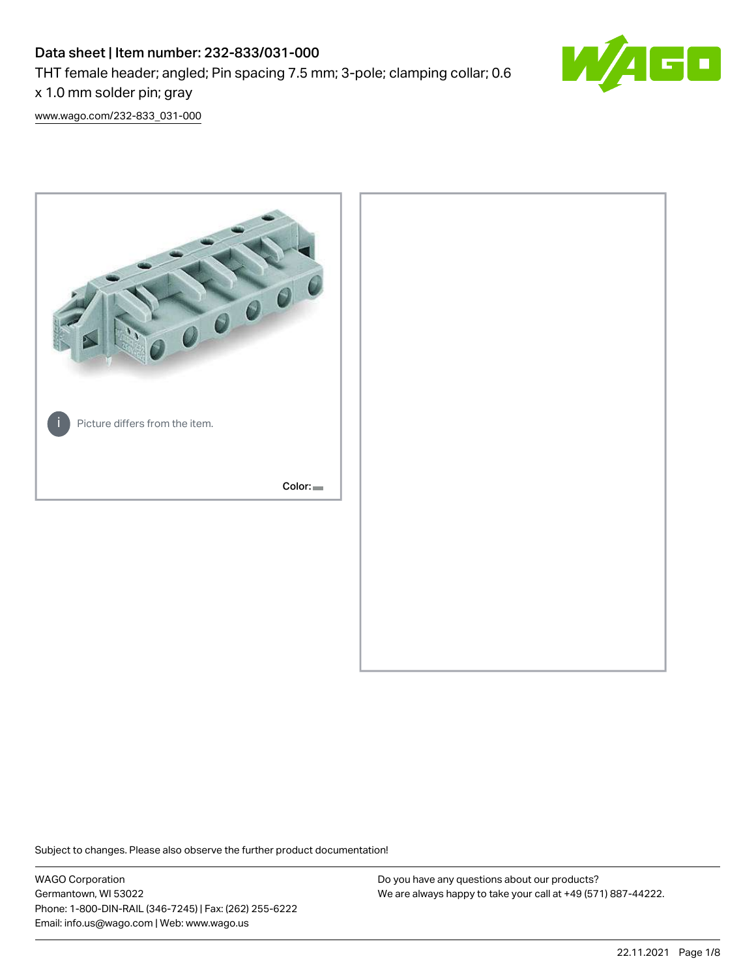# Data sheet | Item number: 232-833/031-000

THT female header; angled; Pin spacing 7.5 mm; 3-pole; clamping collar; 0.6

x 1.0 mm solder pin; gray

[www.wago.com/232-833\\_031-000](http://www.wago.com/232-833_031-000)



Subject to changes. Please also observe the further product documentation!

WAGO Corporation Germantown, WI 53022 Phone: 1-800-DIN-RAIL (346-7245) | Fax: (262) 255-6222 Email: info.us@wago.com | Web: www.wago.us

Do you have any questions about our products? We are always happy to take your call at +49 (571) 887-44222.

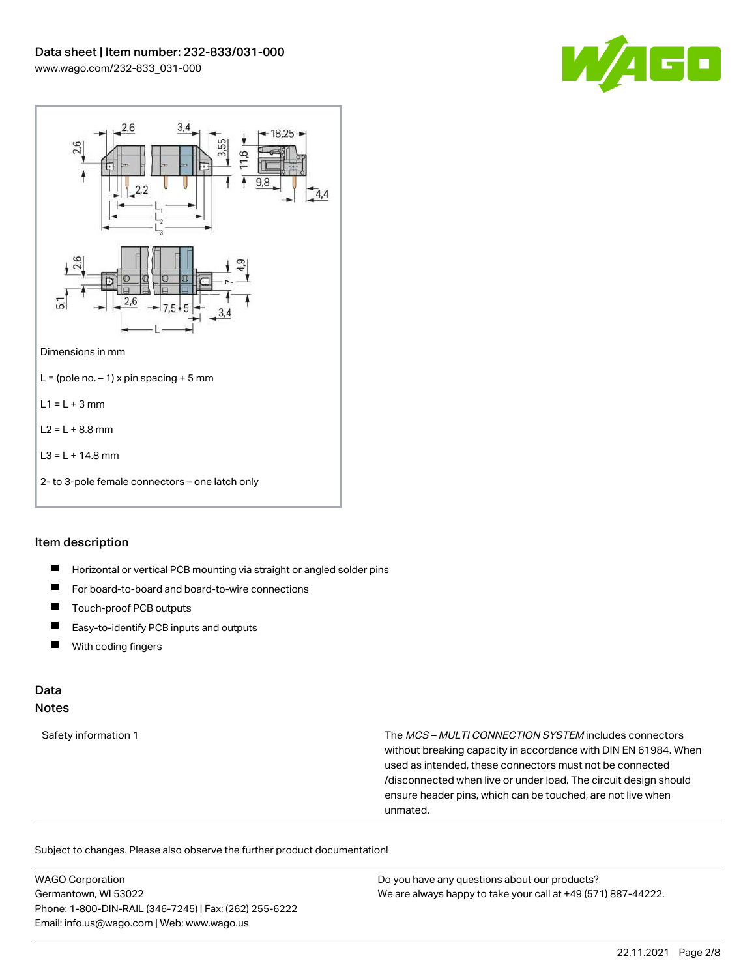



### Item description

- $\blacksquare$ Horizontal or vertical PCB mounting via straight or angled solder pins
- $\blacksquare$ For board-to-board and board-to-wire connections
- П Touch-proof PCB outputs
- $\blacksquare$ Easy-to-identify PCB inputs and outputs
- With coding fingers  $\blacksquare$

### Data Notes

Safety information 1 The MCS – MULTI CONNECTION SYSTEM includes connectors without breaking capacity in accordance with DIN EN 61984. When used as intended, these connectors must not be connected /disconnected when live or under load. The circuit design should ensure header pins, which can be touched, are not live when unmated.

Subject to changes. Please also observe the further product documentation!

WAGO Corporation Germantown, WI 53022 Phone: 1-800-DIN-RAIL (346-7245) | Fax: (262) 255-6222 Email: info.us@wago.com | Web: www.wago.us Do you have any questions about our products? We are always happy to take your call at +49 (571) 887-44222.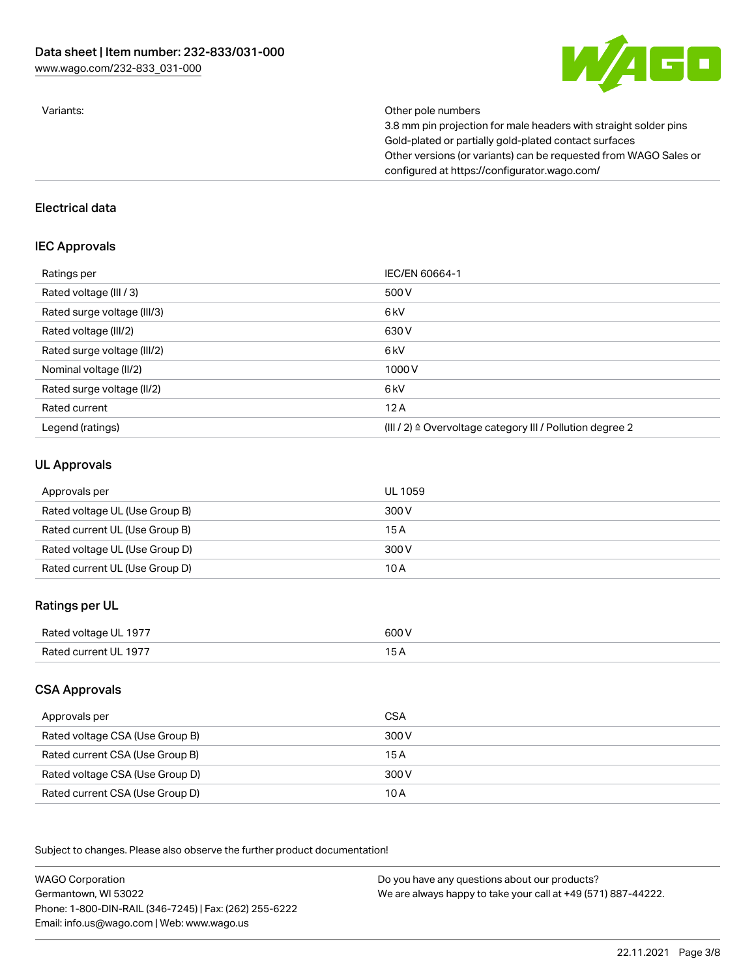

Variants: Other pole numbers

3.8 mm pin projection for male headers with straight solder pins Gold-plated or partially gold-plated contact surfaces Other versions (or variants) can be requested from WAGO Sales or configured at https://configurator.wago.com/

#### Electrical data

## IEC Approvals

| Ratings per                 | IEC/EN 60664-1                                                        |
|-----------------------------|-----------------------------------------------------------------------|
| Rated voltage (III / 3)     | 500 V                                                                 |
| Rated surge voltage (III/3) | 6 <sub>kV</sub>                                                       |
| Rated voltage (III/2)       | 630 V                                                                 |
| Rated surge voltage (III/2) | 6 kV                                                                  |
| Nominal voltage (II/2)      | 1000V                                                                 |
| Rated surge voltage (II/2)  | 6 <sub>kV</sub>                                                       |
| Rated current               | 12A                                                                   |
| Legend (ratings)            | $(III / 2)$ $\triangle$ Overvoltage category III / Pollution degree 2 |

### UL Approvals

| Approvals per                  | UL 1059 |
|--------------------------------|---------|
| Rated voltage UL (Use Group B) | 300 V   |
| Rated current UL (Use Group B) | 15 A    |
| Rated voltage UL (Use Group D) | 300 V   |
| Rated current UL (Use Group D) | 10 A    |

# Ratings per UL

| $- - -$<br>Rated voltage UL 1977 | 600 V |
|----------------------------------|-------|
| Rated current UL 1977            |       |
|                                  |       |

# CSA Approvals

| Approvals per                   | CSA   |
|---------------------------------|-------|
| Rated voltage CSA (Use Group B) | 300 V |
| Rated current CSA (Use Group B) | 15 A  |
| Rated voltage CSA (Use Group D) | 300 V |
| Rated current CSA (Use Group D) | 10 A  |

.<br>Subject to changes. Please also observe the further product documentation!

WAGO Corporation Germantown, WI 53022 Phone: 1-800-DIN-RAIL (346-7245) | Fax: (262) 255-6222 Email: info.us@wago.com | Web: www.wago.us Do you have any questions about our products? We are always happy to take your call at +49 (571) 887-44222.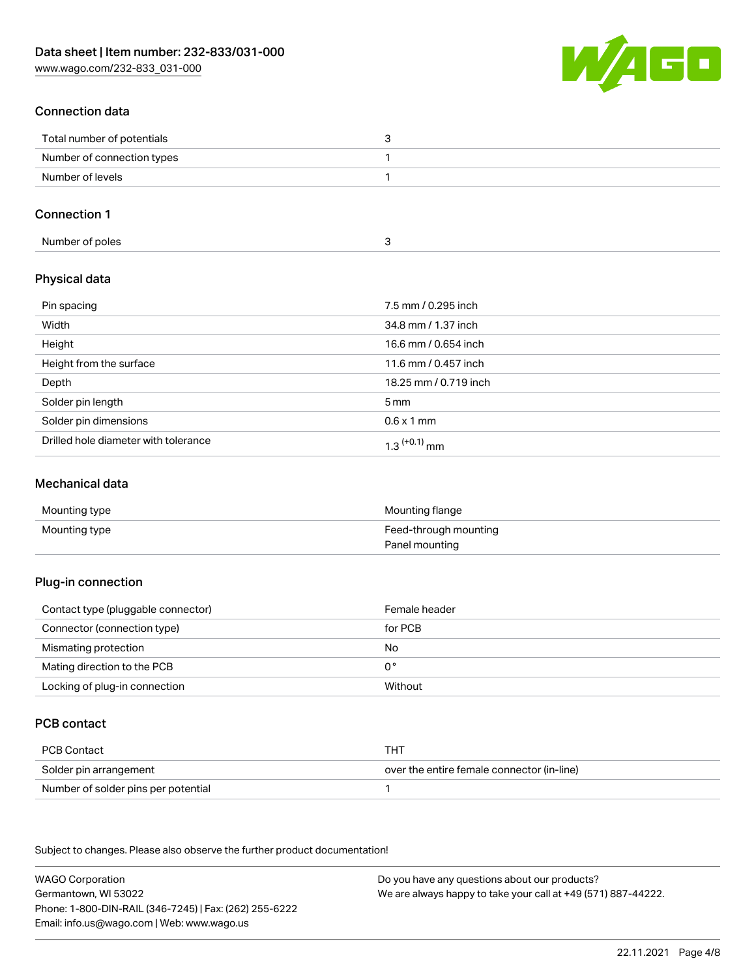[www.wago.com/232-833\\_031-000](http://www.wago.com/232-833_031-000)



# Connection data

| Total number of potentials |  |
|----------------------------|--|
| Number of connection types |  |
| Number of levels           |  |

# Connection 1

| Number of poles |  |
|-----------------|--|
|-----------------|--|

# Physical data

| Pin spacing                          | 7.5 mm / 0.295 inch        |
|--------------------------------------|----------------------------|
| Width                                | 34.8 mm / 1.37 inch        |
| Height                               | 16.6 mm / 0.654 inch       |
| Height from the surface              | 11.6 mm / 0.457 inch       |
| Depth                                | 18.25 mm / 0.719 inch      |
| Solder pin length                    | $5 \,\mathrm{mm}$          |
| Solder pin dimensions                | $0.6 \times 1$ mm          |
| Drilled hole diameter with tolerance | $1.3$ <sup>(+0.1)</sup> mm |

### Mechanical data

| Mounting type | Mounting flange       |
|---------------|-----------------------|
| Mounting type | Feed-through mounting |
|               | Panel mounting        |

### Plug-in connection

| Contact type (pluggable connector) | Female header |
|------------------------------------|---------------|
| Connector (connection type)        | for PCB       |
| Mismating protection               | No            |
| Mating direction to the PCB        | 0°            |
| Locking of plug-in connection      | Without       |

# PCB contact

| PCB Contact                         | тнт                                        |
|-------------------------------------|--------------------------------------------|
| Solder pin arrangement              | over the entire female connector (in-line) |
| Number of solder pins per potential |                                            |

Subject to changes. Please also observe the further product documentation!

WAGO Corporation Germantown, WI 53022 Phone: 1-800-DIN-RAIL (346-7245) | Fax: (262) 255-6222 Email: info.us@wago.com | Web: www.wago.us Do you have any questions about our products? We are always happy to take your call at +49 (571) 887-44222.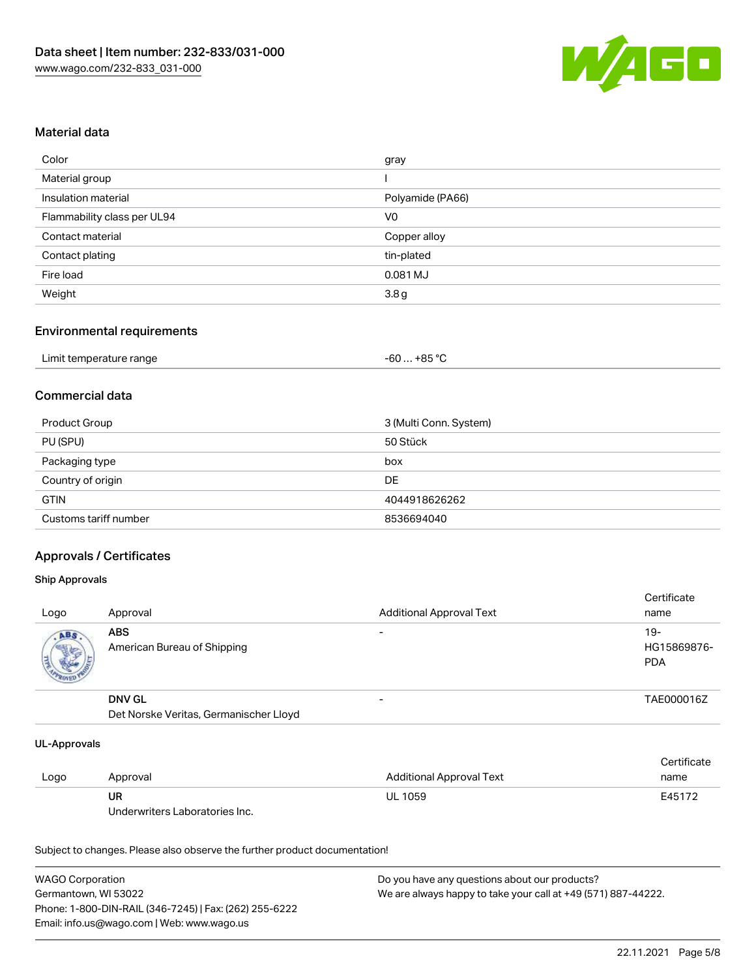

### Material data

| Color                       | gray             |
|-----------------------------|------------------|
| Material group              |                  |
| Insulation material         | Polyamide (PA66) |
| Flammability class per UL94 | V0               |
| Contact material            | Copper alloy     |
| Contact plating             | tin-plated       |
| Fire load                   | 0.081 MJ         |
| Weight                      | 3.8 <sub>g</sub> |

#### Environmental requirements

| Limit temperature range | $-60+85 °C$ |
|-------------------------|-------------|
|-------------------------|-------------|

### Commercial data

| Product Group         | 3 (Multi Conn. System) |
|-----------------------|------------------------|
| PU (SPU)              | 50 Stück               |
| Packaging type        | box                    |
| Country of origin     | DE                     |
| <b>GTIN</b>           | 4044918626262          |
| Customs tariff number | 8536694040             |

## Approvals / Certificates

#### Ship Approvals

| Logo | Approval                                  | <b>Additional Approval Text</b> | Certificate<br>name                |
|------|-------------------------------------------|---------------------------------|------------------------------------|
| ABS  | <b>ABS</b><br>American Bureau of Shipping | $\overline{\phantom{0}}$        | $19-$<br>HG15869876-<br><b>PDA</b> |
|      | <b>DNV GL</b>                             | $\overline{\phantom{0}}$        | TAE000016Z                         |

Det Norske Veritas, Germanischer Lloyd

#### UL-Approvals

|      |                                |                          | Certificate |
|------|--------------------------------|--------------------------|-------------|
| Logo | Approval                       | Additional Approval Text | name        |
|      | UR                             | <b>UL 1059</b>           | E45172      |
|      | Underwriters Laboratories Inc. |                          |             |

Subject to changes. Please also observe the further product documentation!

| <b>WAGO Corporation</b>                                | Do you have any questions about our products?                 |
|--------------------------------------------------------|---------------------------------------------------------------|
| Germantown. WI 53022                                   | We are always happy to take your call at +49 (571) 887-44222. |
| Phone: 1-800-DIN-RAIL (346-7245)   Fax: (262) 255-6222 |                                                               |
| Email: info.us@wago.com   Web: www.wago.us             |                                                               |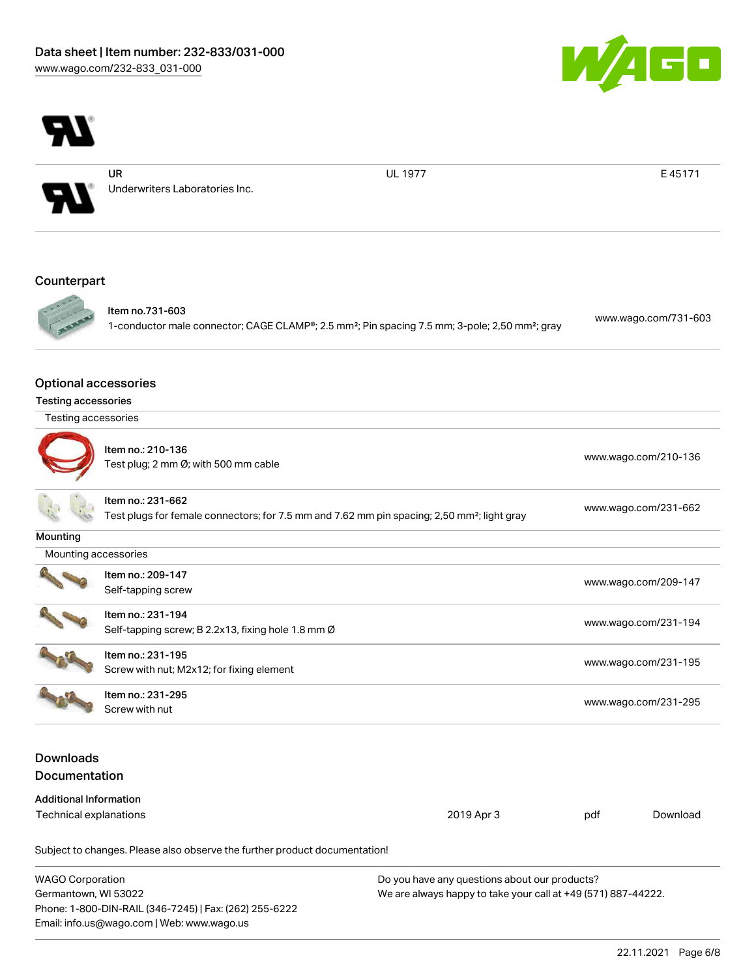

UR

Underwriters Laboratories Inc.

UL 1977 **E 45171** 

 $\boxed{\blacksquare}$ 

# Counterpart



Item no.731-603 1-conductor male connector; CAGE CLAMP®; 2.5 mm²; Pin spacing 7.5 mm; 3-pole; 2,50 mm²; gray [www.wago.com/731-603](https://www.wago.com/731-603)

### Optional accessories

| <b>Testing accessories</b> |  |
|----------------------------|--|
|                            |  |
|                            |  |

| Testing accessories |
|---------------------|
|                     |



|  | Item no.: 210-136<br>Test plug; 2 mm Ø; with 500 mm cable | www.wago.com/210-136 |
|--|-----------------------------------------------------------|----------------------|
|--|-----------------------------------------------------------|----------------------|

|                                            | Item no.: 231-662<br>Test plugs for female connectors; for 7.5 mm and 7.62 mm pin spacing; 2,50 mm <sup>2</sup> ; light gray | www.wago.com/231-662 |
|--------------------------------------------|------------------------------------------------------------------------------------------------------------------------------|----------------------|
| Mounting                                   |                                                                                                                              |                      |
|                                            | Mounting accessories                                                                                                         |                      |
|                                            | Item no.: 209-147<br>Self-tapping screw                                                                                      | www.wago.com/209-147 |
|                                            | Item no.: 231-194<br>Self-tapping screw; B 2.2x13, fixing hole 1.8 mm Ø                                                      | www.wago.com/231-194 |
| <b>Contract Contract Contract Contract</b> |                                                                                                                              |                      |



Item no.: 231-195 Nettrition: 231-195<br>Screw with nut; M2x12; for fixing element [www.wago.com/231-195](http://www.wago.com/231-195)

Item no.: 231-295 Screw with nut [www.wago.com/231-295](http://www.wago.com/231-295)

# Downloads **Documentation**

| Additional Information |            |     |          |
|------------------------|------------|-----|----------|
| Technical explanations | 2019 Apr 3 | pdf | Download |

Subject to changes. Please also observe the further product documentation!

| <b>WAGO Corporation</b>                                | Do you have any questions about our products?                 |
|--------------------------------------------------------|---------------------------------------------------------------|
| Germantown, WI 53022                                   | We are always happy to take your call at +49 (571) 887-44222. |
| Phone: 1-800-DIN-RAIL (346-7245)   Fax: (262) 255-6222 |                                                               |
| Email: info.us@wago.com   Web: www.wago.us             |                                                               |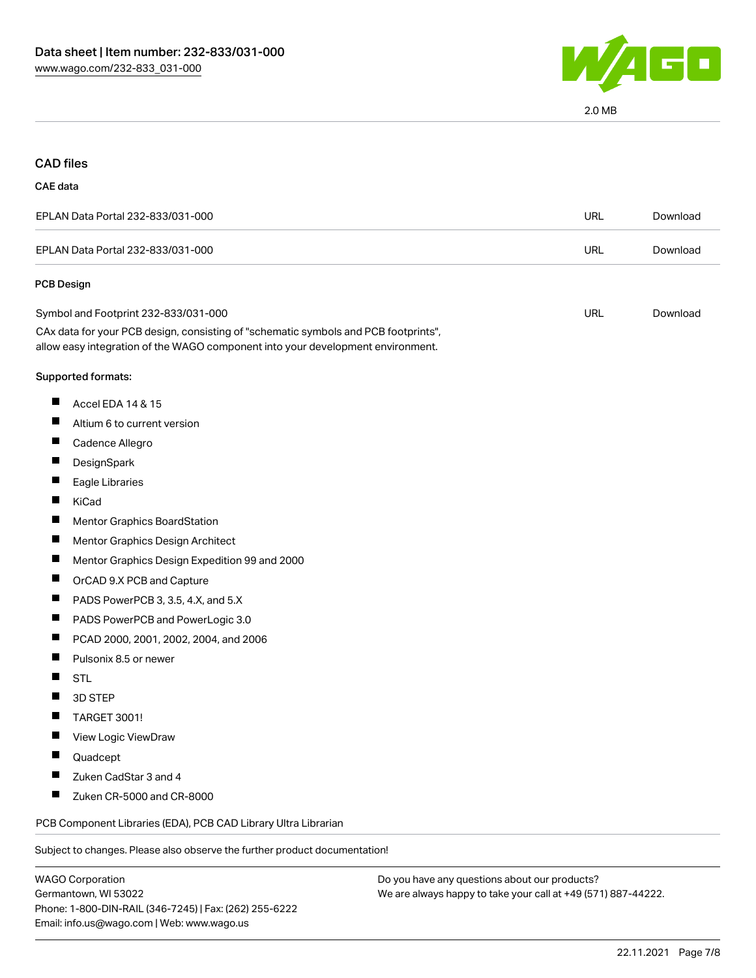

# CAD files

#### CAE data

| EPLAN Data Portal 232-833/031-000 | URL | Download |
|-----------------------------------|-----|----------|
| EPLAN Data Portal 232-833/031-000 | URL | Download |
| <b>PCB Design</b>                 |     |          |

| Symbol and Footprint 232-833/031-000                                                | URL | Download |
|-------------------------------------------------------------------------------------|-----|----------|
| CAx data for your PCB design, consisting of "schematic symbols and PCB footprints", |     |          |
| allow easy integration of the WAGO component into your development environment.     |     |          |

#### Supported formats:

- $\blacksquare$ Accel EDA 14 & 15
- $\blacksquare$ Altium 6 to current version
- $\blacksquare$ Cadence Allegro
- $\blacksquare$ **DesignSpark**
- $\blacksquare$ Eagle Libraries
- $\blacksquare$ KiCad
- Mentor Graphics BoardStation П
- $\blacksquare$ Mentor Graphics Design Architect
- $\blacksquare$ Mentor Graphics Design Expedition 99 and 2000
- $\blacksquare$ OrCAD 9.X PCB and Capture
- $\blacksquare$ PADS PowerPCB 3, 3.5, 4.X, and 5.X
- $\blacksquare$ PADS PowerPCB and PowerLogic 3.0
- $\blacksquare$ PCAD 2000, 2001, 2002, 2004, and 2006
- $\blacksquare$ Pulsonix 8.5 or newer
- П **STL**
- $\blacksquare$ 3D STEP
- $\blacksquare$ TARGET 3001!
- П View Logic ViewDraw
- П Quadcept
- $\blacksquare$ Zuken CadStar 3 and 4
- $\blacksquare$ Zuken CR-5000 and CR-8000

PCB Component Libraries (EDA), PCB CAD Library Ultra Librarian

Subject to changes. Please also observe the further product documentation!

Do you have any questions about our products? We are always happy to take your call at +49 (571) 887-44222.